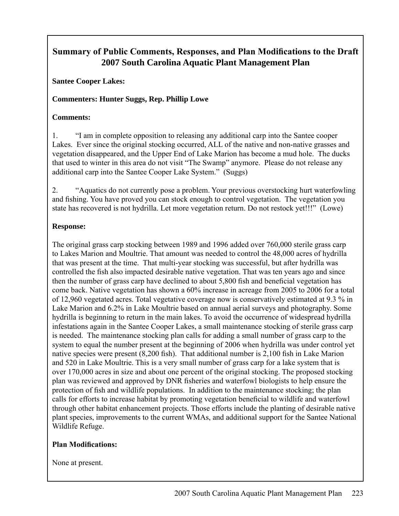# **Summary of Public Comments, Responses, and Plan Modifications to the Draft 2007 South Carolina Aquatic Plant Management Plan**

**Santee Cooper Lakes:**

# **Commenters: Hunter Suggs, Rep. Phillip Lowe**

# **Comments:**

1. "I am in complete opposition to releasing any additional carp into the Santee cooper Lakes. Ever since the original stocking occurred, ALL of the native and non-native grasses and vegetation disappeared, and the Upper End of Lake Marion has become a mud hole. The ducks that used to winter in this area do not visit "The Swamp" anymore. Please do not release any additional carp into the Santee Cooper Lake System." (Suggs)

2. "Aquatics do not currently pose a problem. Your previous overstocking hurt waterfowling and fishing. You have proved you can stock enough to control vegetation. The vegetation you state has recovered is not hydrilla. Let more vegetation return. Do not restock yet!!!" (Lowe)

# **Response:**

The original grass carp stocking between 1989 and 1996 added over 760,000 sterile grass carp to Lakes Marion and Moultrie. That amount was needed to control the 48,000 acres of hydrilla that was present at the time. That multi-year stocking was successful, but after hydrilla was controlled the fish also impacted desirable native vegetation. That was ten years ago and since then the number of grass carp have declined to about 5,800 fish and beneficial vegetation has come back. Native vegetation has shown a 60% increase in acreage from 2005 to 2006 for a total of 12,960 vegetated acres. Total vegetative coverage now is conservatively estimated at 9.3 % in Lake Marion and 6.2% in Lake Moultrie based on annual aerial surveys and photography. Some hydrilla is beginning to return in the main lakes. To avoid the occurrence of widespread hydrilla infestations again in the Santee Cooper Lakes, a small maintenance stocking of sterile grass carp is needed. The maintenance stocking plan calls for adding a small number of grass carp to the system to equal the number present at the beginning of 2006 when hydrilla was under control yet native species were present (8,200 fish). That additional number is 2,100 fish in Lake Marion and 520 in Lake Moultrie. This is a very small number of grass carp for a lake system that is over 170,000 acres in size and about one percent of the original stocking. The proposed stocking plan was reviewed and approved by DNR fisheries and waterfowl biologists to help ensure the protection of fish and wildlife populations. In addition to the maintenance stocking; the plan calls for efforts to increase habitat by promoting vegetation beneficial to wildlife and waterfowl through other habitat enhancement projects. Those efforts include the planting of desirable native plant species, improvements to the current WMAs, and additional support for the Santee National Wildlife Refuge.

# **Plan Modifications:**

None at present.